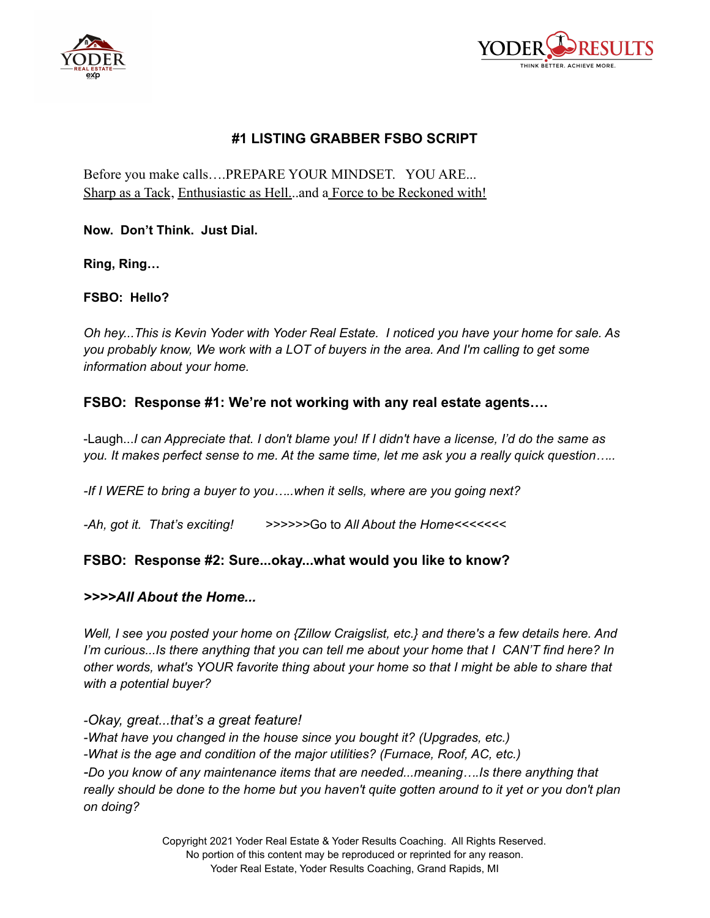



## **#1 LISTING GRABBER FSBO SCRIPT**

Before you make calls….PREPARE YOUR MINDSET. YOU ARE... Sharp as a Tack, Enthusiastic as Hell...and a Force to be Reckoned with!

**Now. Don't Think. Just Dial.**

**Ring, Ring…**

**FSBO: Hello?**

*Oh hey...This is Kevin Yoder with Yoder Real Estate. I noticed you have your home for sale. As you probably know, We work with a LOT of buyers in the area. And I'm calling to get some information about your home.*

#### **FSBO: Response #1: We're not working with any real estate agents….**

-Laugh...I can Appreciate that. I don't blame you! If I didn't have a license, I'd do the same as you. It makes perfect sense to me. At the same time, let me ask you a really quick question.....

*-If I WERE to bring a buyer to you…..when it sells, where are you going next?*

*-Ah, got it. That's exciting! >>>>>>*Go to *All About the Home<<<<<<<*

#### **FSBO: Response #2: Sure...okay...what would you like to know?**

#### *>>>>All About the Home...*

*Well, I see you posted your home on {Zillow Craigslist, etc.} and there's a few details here. And I'm curious...Is there anything that you can tell me about your home that I CAN'T find here? In other words, what's YOUR favorite thing about your home so that I might be able to share that with a potential buyer?*

*-Okay, great...that's a great feature! -What have you changed in the house since you bought it? (Upgrades, etc.) -What is the age and condition of the major utilities? (Furnace, Roof, AC, etc.) -Do you know of any maintenance items that are needed...meaning….Is there anything that* really should be done to the home but you haven't quite gotten around to it yet or you don't plan *on doing?*

> Copyright 2021 Yoder Real Estate & Yoder Results Coaching. All Rights Reserved. No portion of this content may be reproduced or reprinted for any reason. Yoder Real Estate, Yoder Results Coaching, Grand Rapids, MI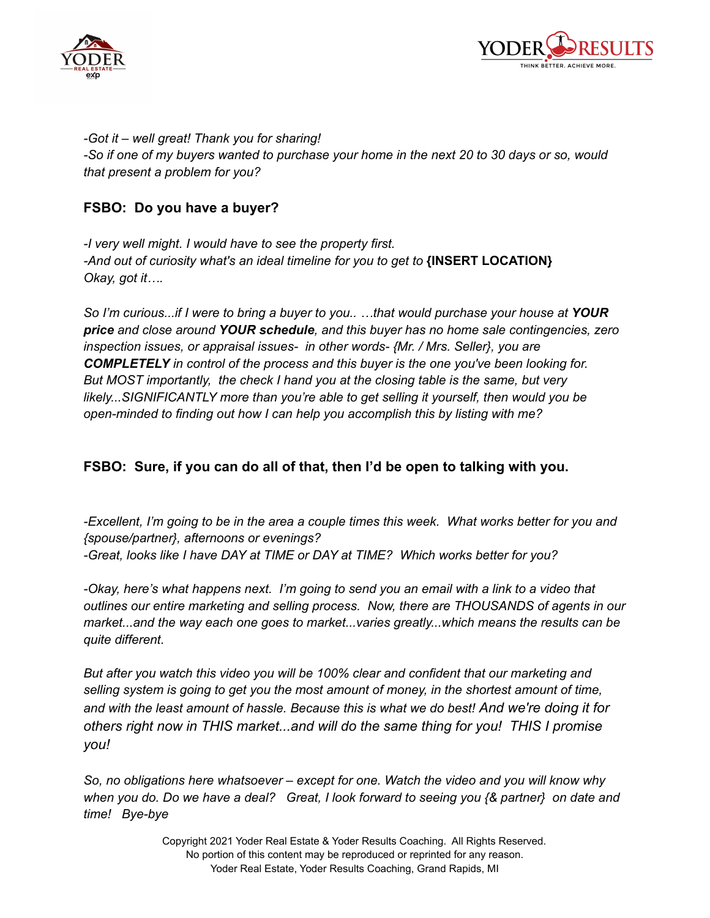



*-Got it – well great! Thank you for sharing!* -So if one of my buyers wanted to purchase your home in the next 20 to 30 days or so, would *that present a problem for you?*

### **FSBO: Do you have a buyer?**

*-I very well might. I would have to see the property first. -And out of curiosity what's an ideal timeline for you to get to* **{INSERT LOCATION}** *Okay, got it….*

*So I'm curious...if I were to bring a buyer to you.. …that would purchase your house at YOUR price and close around YOUR schedule, and this buyer has no home sale contingencies, zero inspection issues, or appraisal issues- in other words- {Mr. / Mrs. Seller}, you are COMPLETELY in control of the process and this buyer is the one you've been looking for. But MOST importantly, the check I hand you at the closing table is the same, but very likely...SIGNIFICANTLY more than you're able to get selling it yourself, then would you be open-minded to finding out how I can help you accomplish this by listing with me?*

## **FSBO: Sure, if you can do all of that, then I'd be open to talking with you.**

-Excellent, I'm going to be in the area a couple times this week. What works better for you and *{spouse/partner}, afternoons or evenings? -Great, looks like I have DAY at TIME or DAY at TIME? Which works better for you?*

*-Okay, here's what happens next. I'm going to send you an email with a link to a video that outlines our entire marketing and selling process. Now, there are THOUSANDS of agents in our market...and the way each one goes to market...varies greatly...which means the results can be quite different.*

*But after you watch this video you will be 100% clear and confident that our marketing and selling system is going to get you the most amount of money, in the shortest amount of time, and with the least amount of hassle. Because this is what we do best! And we're doing it for others right now in THIS market...and will do the same thing for you! THIS I promise you!*

*So, no obligations here whatsoever – except for one. Watch the video and you will know why* when you do. Do we have a deal? Great, I look forward to seeing you {& partner} on date and *time! Bye-bye*